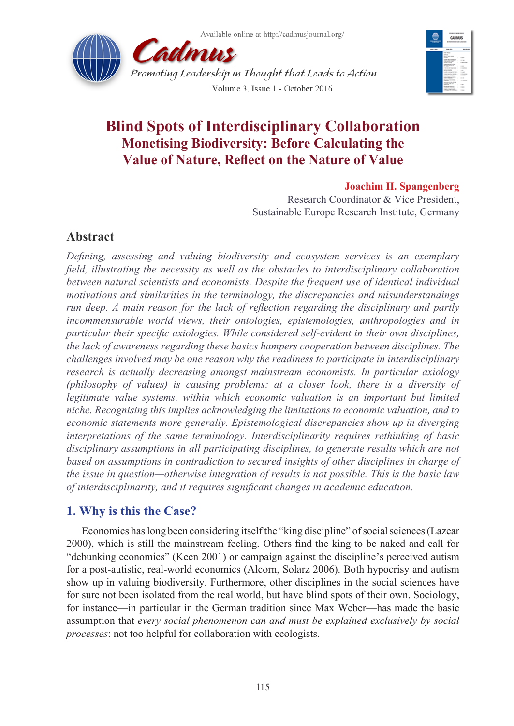



# **Blind Spots of Interdisciplinary Collaboration Monetising Biodiversity: Before Calculating the Value of Nature, Reflect on the Nature of Value**

### **Joachim H. Spangenberg**

Research Coordinator & Vice President, Sustainable Europe Research Institute, Germany

# **Abstract**

*Defining, assessing and valuing biodiversity and ecosystem services is an exemplary field, illustrating the necessity as well as the obstacles to interdisciplinary collaboration between natural scientists and economists. Despite the frequent use of identical individual motivations and similarities in the terminology, the discrepancies and misunderstandings run deep. A main reason for the lack of reflection regarding the disciplinary and partly incommensurable world views, their ontologies, epistemologies, anthropologies and in particular their specific axiologies. While considered self-evident in their own disciplines, the lack of awareness regarding these basics hampers cooperation between disciplines. The challenges involved may be one reason why the readiness to participate in interdisciplinary research is actually decreasing amongst mainstream economists. In particular axiology (philosophy of values) is causing problems: at a closer look, there is a diversity of legitimate value systems, within which economic valuation is an important but limited niche. Recognising this implies acknowledging the limitations to economic valuation, and to economic statements more generally. Epistemological discrepancies show up in diverging interpretations of the same terminology. Interdisciplinarity requires rethinking of basic disciplinary assumptions in all participating disciplines, to generate results which are not*  based on assumptions in contradiction to secured insights of other disciplines in charge of *the issue in question—otherwise integration of results is not possible. This is the basic law of interdisciplinarity, and it requires significant changes in academic education.*

# **1. Why is this the Case?**

Economics has long been considering itself the "king discipline" of social sciences (Lazear 2000), which is still the mainstream feeling. Others find the king to be naked and call for "debunking economics" (Keen 2001) or campaign against the discipline's perceived autism for a post-autistic, real-world economics (Alcorn, Solarz 2006). Both hypocrisy and autism show up in valuing biodiversity. Furthermore, other disciplines in the social sciences have for sure not been isolated from the real world, but have blind spots of their own. Sociology, for instance—in particular in the German tradition since Max Weber—has made the basic assumption that *every social phenomenon can and must be explained exclusively by social processes*: not too helpful for collaboration with ecologists.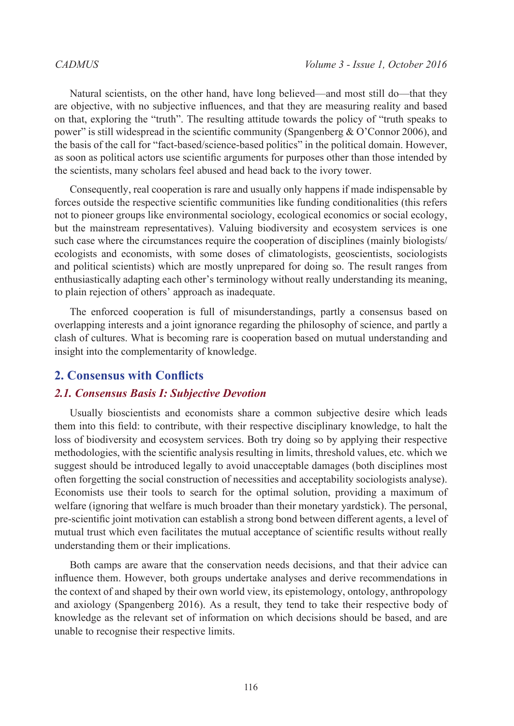Natural scientists, on the other hand, have long believed—and most still do—that they are objective, with no subjective influences, and that they are measuring reality and based on that, exploring the "truth". The resulting attitude towards the policy of "truth speaks to power" is still widespread in the scientific community (Spangenberg & O'Connor 2006), and the basis of the call for "fact-based/science-based politics" in the political domain. However, as soon as political actors use scientific arguments for purposes other than those intended by the scientists, many scholars feel abused and head back to the ivory tower.

Consequently, real cooperation is rare and usually only happens if made indispensable by forces outside the respective scientific communities like funding conditionalities (this refers not to pioneer groups like environmental sociology, ecological economics or social ecology, but the mainstream representatives). Valuing biodiversity and ecosystem services is one such case where the circumstances require the cooperation of disciplines (mainly biologists/ ecologists and economists, with some doses of climatologists, geoscientists, sociologists and political scientists) which are mostly unprepared for doing so. The result ranges from enthusiastically adapting each other's terminology without really understanding its meaning, to plain rejection of others' approach as inadequate.

The enforced cooperation is full of misunderstandings, partly a consensus based on overlapping interests and a joint ignorance regarding the philosophy of science, and partly a clash of cultures. What is becoming rare is cooperation based on mutual understanding and insight into the complementarity of knowledge.

# **2. Consensus with Conflicts**

### *2.1. Consensus Basis I: Subjective Devotion*

Usually bioscientists and economists share a common subjective desire which leads them into this field: to contribute, with their respective disciplinary knowledge, to halt the loss of biodiversity and ecosystem services. Both try doing so by applying their respective methodologies, with the scientific analysis resulting in limits, threshold values, etc. which we suggest should be introduced legally to avoid unacceptable damages (both disciplines most often forgetting the social construction of necessities and acceptability sociologists analyse). Economists use their tools to search for the optimal solution, providing a maximum of welfare (ignoring that welfare is much broader than their monetary yardstick). The personal, pre-scientific joint motivation can establish a strong bond between different agents, a level of mutual trust which even facilitates the mutual acceptance of scientific results without really understanding them or their implications.

Both camps are aware that the conservation needs decisions, and that their advice can influence them. However, both groups undertake analyses and derive recommendations in the context of and shaped by their own world view, its epistemology, ontology, anthropology and axiology (Spangenberg 2016). As a result, they tend to take their respective body of knowledge as the relevant set of information on which decisions should be based, and are unable to recognise their respective limits.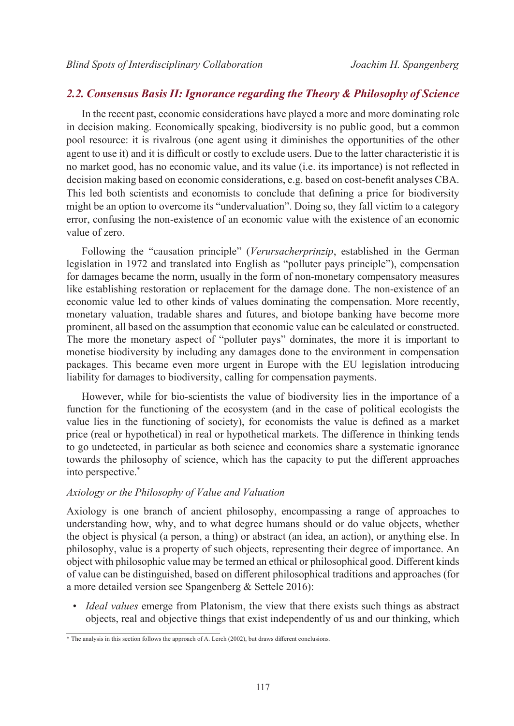### *2.2. Consensus Basis II: Ignorance regarding the Theory & Philosophy of Science*

In the recent past, economic considerations have played a more and more dominating role in decision making. Economically speaking, biodiversity is no public good, but a common pool resource: it is rivalrous (one agent using it diminishes the opportunities of the other agent to use it) and it is difficult or costly to exclude users. Due to the latter characteristic it is no market good, has no economic value, and its value (i.e. its importance) is not reflected in decision making based on economic considerations, e.g. based on cost-benefit analyses CBA. This led both scientists and economists to conclude that defining a price for biodiversity might be an option to overcome its "undervaluation". Doing so, they fall victim to a category error, confusing the non-existence of an economic value with the existence of an economic value of zero.

Following the "causation principle" (*Verursacherprinzip*, established in the German legislation in 1972 and translated into English as "polluter pays principle"), compensation for damages became the norm, usually in the form of non-monetary compensatory measures like establishing restoration or replacement for the damage done. The non-existence of an economic value led to other kinds of values dominating the compensation. More recently, monetary valuation, tradable shares and futures, and biotope banking have become more prominent, all based on the assumption that economic value can be calculated or constructed. The more the monetary aspect of "polluter pays" dominates, the more it is important to monetise biodiversity by including any damages done to the environment in compensation packages. This became even more urgent in Europe with the EU legislation introducing liability for damages to biodiversity, calling for compensation payments.

However, while for bio-scientists the value of biodiversity lies in the importance of a function for the functioning of the ecosystem (and in the case of political ecologists the value lies in the functioning of society), for economists the value is defined as a market price (real or hypothetical) in real or hypothetical markets. The difference in thinking tends to go undetected, in particular as both science and economics share a systematic ignorance towards the philosophy of science, which has the capacity to put the different approaches into perspective.\*

#### *Axiology or the Philosophy of Value and Valuation*

Axiology is one branch of ancient philosophy, encompassing a range of approaches to understanding how, why, and to what degree humans should or do value objects, whether the object is physical (a person, a thing) or abstract (an idea, an action), or anything else. In philosophy, value is a property of such objects, representing their degree of importance. An object with philosophic value may be termed an ethical or philosophical good. Different kinds of value can be distinguished, based on different philosophical traditions and approaches (for a more detailed version see Spangenberg & Settele 2016):

• *Ideal values* emerge from Platonism, the view that there exists such things as abstract objects, real and objective things that exist independently of us and our thinking, which

<sup>\*</sup> The analysis in this section follows the approach of A. Lerch (2002), but draws different conclusions.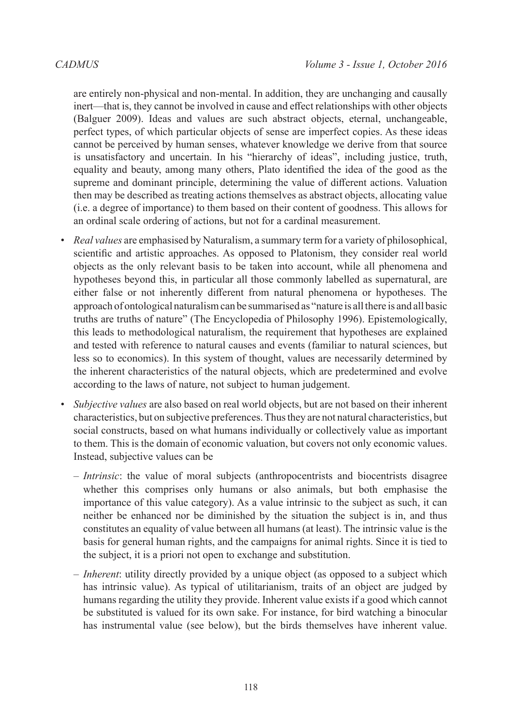are entirely non-physical and non-mental. In addition, they are unchanging and causally inert—that is, they cannot be involved in cause and effect relationships with other objects (Balguer 2009). Ideas and values are such abstract objects, eternal, unchangeable, perfect types, of which particular objects of sense are imperfect copies. As these ideas cannot be perceived by human senses, whatever knowledge we derive from that source is unsatisfactory and uncertain. In his "hierarchy of ideas", including justice, truth, equality and beauty, among many others, Plato identified the idea of the good as the supreme and dominant principle, determining the value of different actions. Valuation then may be described as treating actions themselves as abstract objects, allocating value (i.e. a degree of importance) to them based on their content of goodness. This allows for an ordinal scale ordering of actions, but not for a cardinal measurement.

- *Real values* are emphasised by Naturalism, a summary term for a variety of philosophical, scientific and artistic approaches. As opposed to Platonism, they consider real world objects as the only relevant basis to be taken into account, while all phenomena and hypotheses beyond this, in particular all those commonly labelled as supernatural, are either false or not inherently different from natural phenomena or hypotheses. The approach of ontological naturalism can be summarised as "nature is all there is and all basic truths are truths of nature" (The Encyclopedia of Philosophy 1996). Epistemologically, this leads to methodological naturalism, the requirement that hypotheses are explained and tested with reference to natural causes and events (familiar to natural sciences, but less so to economics). In this system of thought, values are necessarily determined by the inherent characteristics of the natural objects, which are predetermined and evolve according to the laws of nature, not subject to human judgement.
- *Subjective values* are also based on real world objects, but are not based on their inherent characteristics, but on subjective preferences. Thus they are not natural characteristics, but social constructs, based on what humans individually or collectively value as important to them. This is the domain of economic valuation, but covers not only economic values. Instead, subjective values can be
	- *Intrinsic*: the value of moral subjects (anthropocentrists and biocentrists disagree whether this comprises only humans or also animals, but both emphasise the importance of this value category). As a value intrinsic to the subject as such, it can neither be enhanced nor be diminished by the situation the subject is in, and thus constitutes an equality of value between all humans (at least). The intrinsic value is the basis for general human rights, and the campaigns for animal rights. Since it is tied to the subject, it is a priori not open to exchange and substitution.
	- *Inherent*: utility directly provided by a unique object (as opposed to a subject which has intrinsic value). As typical of utilitarianism, traits of an object are judged by humans regarding the utility they provide. Inherent value exists if a good which cannot be substituted is valued for its own sake. For instance, for bird watching a binocular has instrumental value (see below), but the birds themselves have inherent value.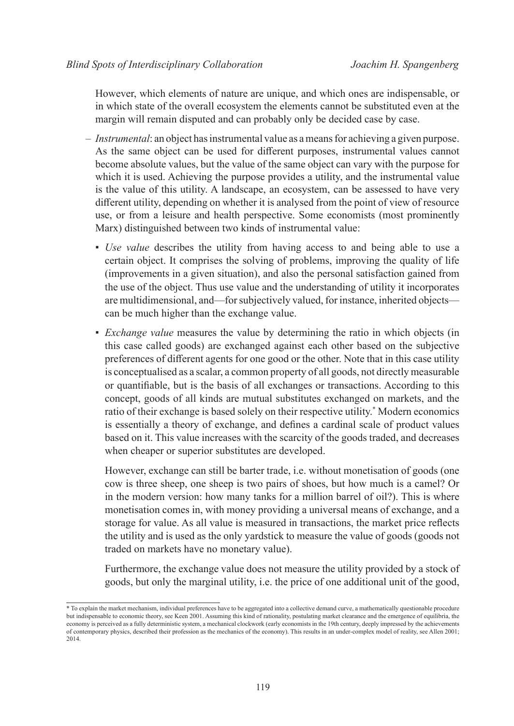However, which elements of nature are unique, and which ones are indispensable, or in which state of the overall ecosystem the elements cannot be substituted even at the margin will remain disputed and can probably only be decided case by case.

- *Instrumental*: an object has instrumental value as a means for achieving a given purpose. As the same object can be used for different purposes, instrumental values cannot become absolute values, but the value of the same object can vary with the purpose for which it is used. Achieving the purpose provides a utility, and the instrumental value is the value of this utility. A landscape, an ecosystem, can be assessed to have very different utility, depending on whether it is analysed from the point of view of resource use, or from a leisure and health perspective. Some economists (most prominently Marx) distinguished between two kinds of instrumental value:
	- *Use value* describes the utility from having access to and being able to use a certain object. It comprises the solving of problems, improving the quality of life (improvements in a given situation), and also the personal satisfaction gained from the use of the object. Thus use value and the understanding of utility it incorporates are multidimensional, and—for subjectively valued, for instance, inherited objects can be much higher than the exchange value.
	- *Exchange value* measures the value by determining the ratio in which objects (in this case called goods) are exchanged against each other based on the subjective preferences of different agents for one good or the other. Note that in this case utility is conceptualised as a scalar, a common property of all goods, not directly measurable or quantifiable, but is the basis of all exchanges or transactions. According to this concept, goods of all kinds are mutual substitutes exchanged on markets, and the ratio of their exchange is based solely on their respective utility.\* Modern economics is essentially a theory of exchange, and defines a cardinal scale of product values based on it. This value increases with the scarcity of the goods traded, and decreases when cheaper or superior substitutes are developed.

However, exchange can still be barter trade, i.e. without monetisation of goods (one cow is three sheep, one sheep is two pairs of shoes, but how much is a camel? Or in the modern version: how many tanks for a million barrel of oil?). This is where monetisation comes in, with money providing a universal means of exchange, and a storage for value. As all value is measured in transactions, the market price reflects the utility and is used as the only yardstick to measure the value of goods (goods not traded on markets have no monetary value).

Furthermore, the exchange value does not measure the utility provided by a stock of goods, but only the marginal utility, i.e. the price of one additional unit of the good,

<sup>\*</sup> To explain the market mechanism, individual preferences have to be aggregated into a collective demand curve, a mathematically questionable procedure but indispensable to economic theory, see Keen 2001. Assuming this kind of rationality, postulating market clearance and the emergence of equilibria, the economy is perceived as a fully deterministic system, a mechanical clockwork (early economists in the 19th century, deeply impressed by the achievements of contemporary physics, described their profession as the mechanics of the economy). This results in an under-complex model of reality, see Allen 2001; 2014.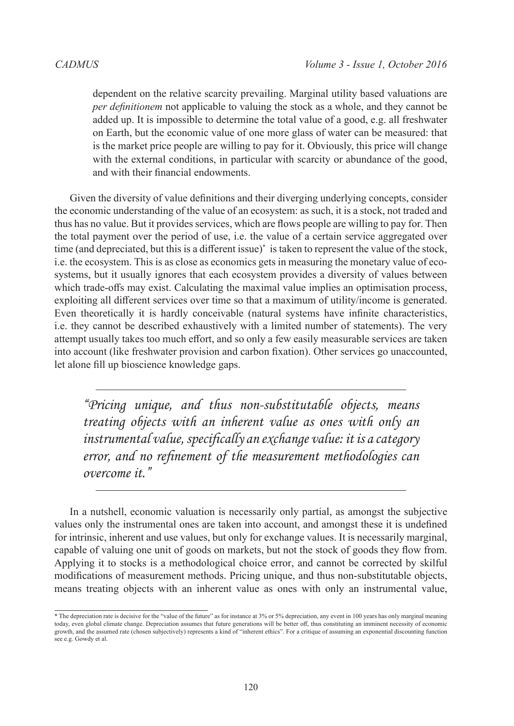dependent on the relative scarcity prevailing. Marginal utility based valuations are *per definitionem* not applicable to valuing the stock as a whole, and they cannot be added up. It is impossible to determine the total value of a good, e.g. all freshwater on Earth, but the economic value of one more glass of water can be measured: that is the market price people are willing to pay for it. Obviously, this price will change with the external conditions, in particular with scarcity or abundance of the good, and with their financial endowments.

Given the diversity of value definitions and their diverging underlying concepts, consider the economic understanding of the value of an ecosystem: as such, it is a stock, not traded and thus has no value. But it provides services, which are flows people are willing to pay for. Then the total payment over the period of use, i.e. the value of a certain service aggregated over time (and depreciated, but this is a different issue)\* is taken to represent the value of the stock, i.e. the ecosystem. This is as close as economics gets in measuring the monetary value of ecosystems, but it usually ignores that each ecosystem provides a diversity of values between which trade-offs may exist. Calculating the maximal value implies an optimisation process, exploiting all different services over time so that a maximum of utility/income is generated. Even theoretically it is hardly conceivable (natural systems have infinite characteristics, i.e. they cannot be described exhaustively with a limited number of statements). The very attempt usually takes too much effort, and so only a few easily measurable services are taken into account (like freshwater provision and carbon fixation). Other services go unaccounted, let alone fill up bioscience knowledge gaps.

*"Pricing unique, and thus non-substitutable objects, means treating objects with an inherent value as ones with only an instrumental value, specifically an exchange value: it is a category error, and no refinement of the measurement methodologies can overcome it."*

In a nutshell, economic valuation is necessarily only partial, as amongst the subjective values only the instrumental ones are taken into account, and amongst these it is undefined for intrinsic, inherent and use values, but only for exchange values. It is necessarily marginal, capable of valuing one unit of goods on markets, but not the stock of goods they flow from. Applying it to stocks is a methodological choice error, and cannot be corrected by skilful modifications of measurement methods. Pricing unique, and thus non-substitutable objects, means treating objects with an inherent value as ones with only an instrumental value,

<sup>\*</sup> The depreciation rate is decisive for the "value of the future" as for instance at 3% or 5% depreciation, any event in 100 years has only marginal meaning today, even global climate change. Depreciation assumes that future generations will be better off, thus constituting an imminent necessity of economic growth, and the assumed rate (chosen subjectively) represents a kind of "inherent ethics". For a critique of assuming an exponential discounting function see e.g. Gowdy et al.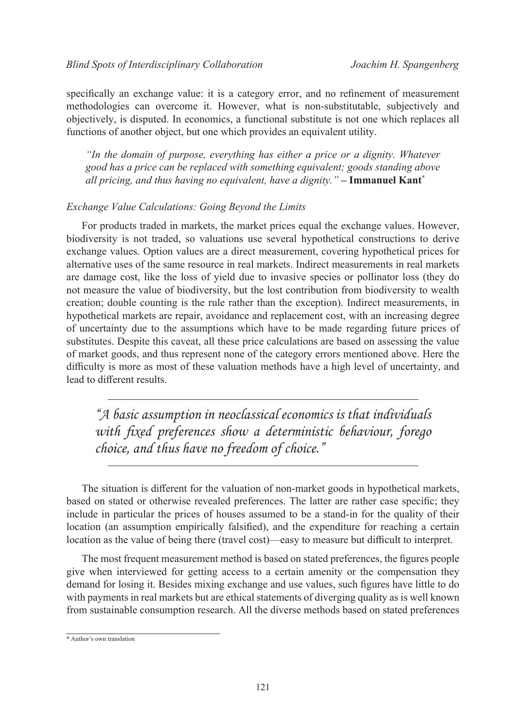specifically an exchange value: it is a category error, and no refinement of measurement methodologies can overcome it. However, what is non-substitutable, subjectively and objectively, is disputed. In economics, a functional substitute is not one which replaces all functions of another object, but one which provides an equivalent utility.

*"In the domain of purpose, everything has either a price or a dignity. Whatever good has a price can be replaced with something equivalent; goods standing above all pricing, and thus having no equivalent, have a dignity."* **– Immanuel Kant**\*

#### *Exchange Value Calculations: Going Beyond the Limits*

For products traded in markets, the market prices equal the exchange values. However, biodiversity is not traded, so valuations use several hypothetical constructions to derive exchange values. Option values are a direct measurement, covering hypothetical prices for alternative uses of the same resource in real markets. Indirect measurements in real markets are damage cost, like the loss of yield due to invasive species or pollinator loss (they do not measure the value of biodiversity, but the lost contribution from biodiversity to wealth creation; double counting is the rule rather than the exception). Indirect measurements, in hypothetical markets are repair, avoidance and replacement cost, with an increasing degree of uncertainty due to the assumptions which have to be made regarding future prices of substitutes. Despite this caveat, all these price calculations are based on assessing the value of market goods, and thus represent none of the category errors mentioned above. Here the difficulty is more as most of these valuation methods have a high level of uncertainty, and lead to different results.

*"A basic assumption in neoclassical economics is that individuals with fixed preferences show a deterministic behaviour, forego choice, and thus have no freedom of choice."*

The situation is different for the valuation of non-market goods in hypothetical markets, based on stated or otherwise revealed preferences. The latter are rather case specific; they include in particular the prices of houses assumed to be a stand-in for the quality of their location (an assumption empirically falsified), and the expenditure for reaching a certain location as the value of being there (travel cost)—easy to measure but difficult to interpret.

The most frequent measurement method is based on stated preferences, the figures people give when interviewed for getting access to a certain amenity or the compensation they demand for losing it. Besides mixing exchange and use values, such figures have little to do with payments in real markets but are ethical statements of diverging quality as is well known from sustainable consumption research. All the diverse methods based on stated preferences

<sup>\*</sup> Author's own translation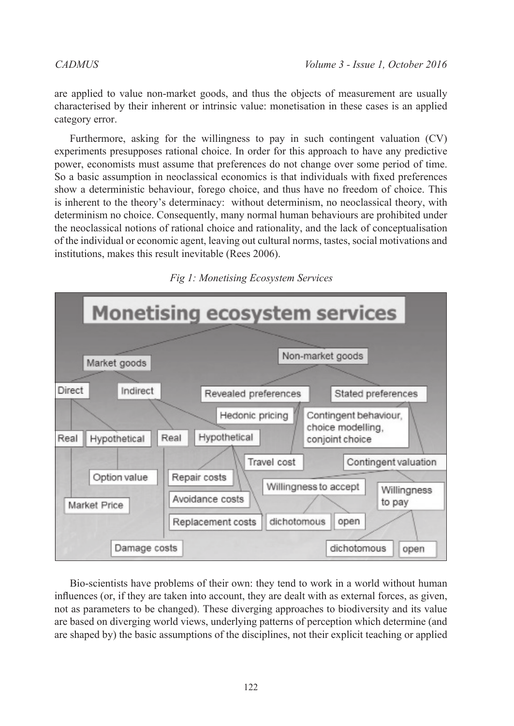are applied to value non-market goods, and thus the objects of measurement are usually characterised by their inherent or intrinsic value: monetisation in these cases is an applied category error.

Furthermore, asking for the willingness to pay in such contingent valuation (CV) experiments presupposes rational choice. In order for this approach to have any predictive power, economists must assume that preferences do not change over some period of time. So a basic assumption in neoclassical economics is that individuals with fixed preferences show a deterministic behaviour, forego choice, and thus have no freedom of choice. This is inherent to the theory's determinacy: without determinism, no neoclassical theory, with determinism no choice. Consequently, many normal human behaviours are prohibited under the neoclassical notions of rational choice and rationality, and the lack of conceptualisation of the individual or economic agent, leaving out cultural norms, tastes, social motivations and institutions, makes this result inevitable (Rees 2006).



*Fig 1: Monetising Ecosystem Services*

Bio-scientists have problems of their own: they tend to work in a world without human influences (or, if they are taken into account, they are dealt with as external forces, as given, not as parameters to be changed). These diverging approaches to biodiversity and its value are based on diverging world views, underlying patterns of perception which determine (and are shaped by) the basic assumptions of the disciplines, not their explicit teaching or applied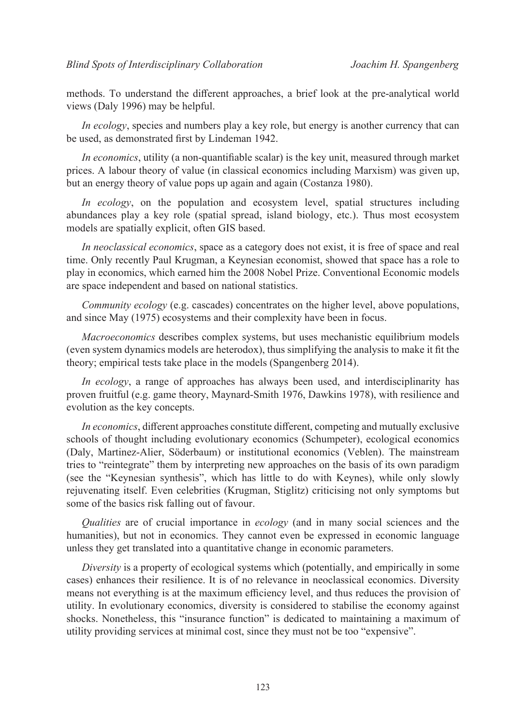methods. To understand the different approaches, a brief look at the pre-analytical world views (Daly 1996) may be helpful.

*In ecology*, species and numbers play a key role, but energy is another currency that can be used, as demonstrated first by Lindeman 1942.

*In economics*, utility (a non-quantifiable scalar) is the key unit, measured through market prices. A labour theory of value (in classical economics including Marxism) was given up, but an energy theory of value pops up again and again (Costanza 1980).

*In ecology*, on the population and ecosystem level, spatial structures including abundances play a key role (spatial spread, island biology, etc.). Thus most ecosystem models are spatially explicit, often GIS based.

*In neoclassical economics*, space as a category does not exist, it is free of space and real time. Only recently Paul Krugman, a Keynesian economist, showed that space has a role to play in economics, which earned him the 2008 Nobel Prize. Conventional Economic models are space independent and based on national statistics.

*Community ecology* (e.g. cascades) concentrates on the higher level, above populations, and since May (1975) ecosystems and their complexity have been in focus.

*Macroeconomics* describes complex systems, but uses mechanistic equilibrium models (even system dynamics models are heterodox), thus simplifying the analysis to make it fit the theory; empirical tests take place in the models (Spangenberg 2014).

*In ecology*, a range of approaches has always been used, and interdisciplinarity has proven fruitful (e.g. game theory, Maynard-Smith 1976, Dawkins 1978), with resilience and evolution as the key concepts.

*In economics*, different approaches constitute different, competing and mutually exclusive schools of thought including evolutionary economics (Schumpeter), ecological economics (Daly, Martinez-Alier, Söderbaum) or institutional economics (Veblen). The mainstream tries to "reintegrate" them by interpreting new approaches on the basis of its own paradigm (see the "Keynesian synthesis", which has little to do with Keynes), while only slowly rejuvenating itself. Even celebrities (Krugman, Stiglitz) criticising not only symptoms but some of the basics risk falling out of favour.

*Qualities* are of crucial importance in *ecology* (and in many social sciences and the humanities), but not in economics. They cannot even be expressed in economic language unless they get translated into a quantitative change in economic parameters.

*Diversity* is a property of ecological systems which (potentially, and empirically in some cases) enhances their resilience. It is of no relevance in neoclassical economics. Diversity means not everything is at the maximum efficiency level, and thus reduces the provision of utility. In evolutionary economics, diversity is considered to stabilise the economy against shocks. Nonetheless, this "insurance function" is dedicated to maintaining a maximum of utility providing services at minimal cost, since they must not be too "expensive".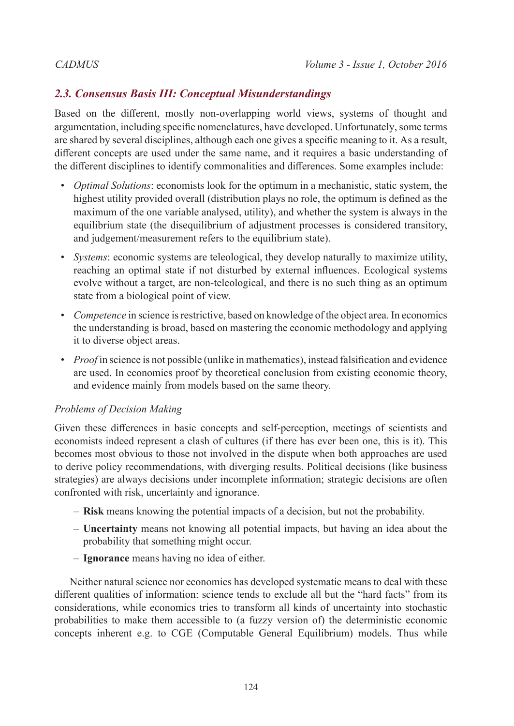# *2.3. Consensus Basis III: Conceptual Misunderstandings*

Based on the different, mostly non-overlapping world views, systems of thought and argumentation, including specific nomenclatures, have developed. Unfortunately, some terms are shared by several disciplines, although each one gives a specific meaning to it. As a result, different concepts are used under the same name, and it requires a basic understanding of the different disciplines to identify commonalities and differences. Some examples include:

- *Optimal Solutions*: economists look for the optimum in a mechanistic, static system, the highest utility provided overall (distribution plays no role, the optimum is defined as the maximum of the one variable analysed, utility), and whether the system is always in the equilibrium state (the disequilibrium of adjustment processes is considered transitory, and judgement/measurement refers to the equilibrium state).
- *Systems*: economic systems are teleological, they develop naturally to maximize utility, reaching an optimal state if not disturbed by external influences. Ecological systems evolve without a target, are non-teleological, and there is no such thing as an optimum state from a biological point of view.
- *Competence* in science is restrictive, based on knowledge of the object area. In economics the understanding is broad, based on mastering the economic methodology and applying it to diverse object areas.
- *Proof* in science is not possible (unlike in mathematics), instead falsification and evidence are used. In economics proof by theoretical conclusion from existing economic theory, and evidence mainly from models based on the same theory.

## *Problems of Decision Making*

Given these differences in basic concepts and self-perception, meetings of scientists and economists indeed represent a clash of cultures (if there has ever been one, this is it). This becomes most obvious to those not involved in the dispute when both approaches are used to derive policy recommendations, with diverging results. Political decisions (like business strategies) are always decisions under incomplete information; strategic decisions are often confronted with risk, uncertainty and ignorance.

- **Risk** means knowing the potential impacts of a decision, but not the probability.
- **Uncertainty** means not knowing all potential impacts, but having an idea about the probability that something might occur.
- **Ignorance** means having no idea of either.

Neither natural science nor economics has developed systematic means to deal with these different qualities of information: science tends to exclude all but the "hard facts" from its considerations, while economics tries to transform all kinds of uncertainty into stochastic probabilities to make them accessible to (a fuzzy version of) the deterministic economic concepts inherent e.g. to CGE (Computable General Equilibrium) models. Thus while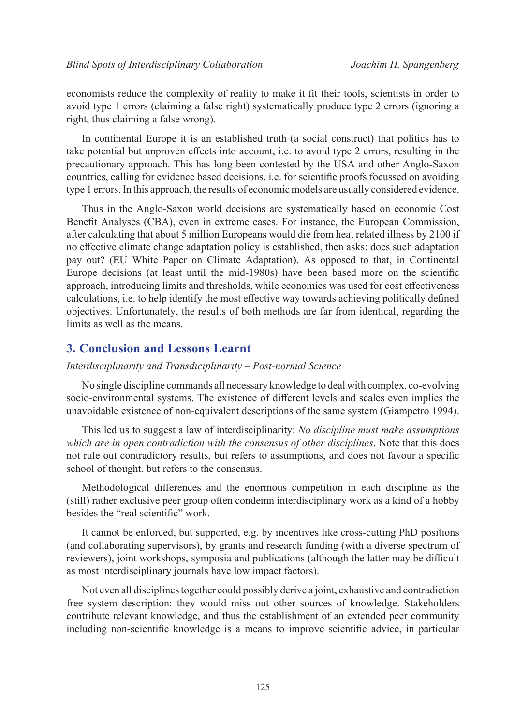economists reduce the complexity of reality to make it fit their tools, scientists in order to avoid type 1 errors (claiming a false right) systematically produce type 2 errors (ignoring a right, thus claiming a false wrong).

In continental Europe it is an established truth (a social construct) that politics has to take potential but unproven effects into account, i.e. to avoid type 2 errors, resulting in the precautionary approach. This has long been contested by the USA and other Anglo-Saxon countries, calling for evidence based decisions, i.e. for scientific proofs focussed on avoiding type 1 errors. In this approach, the results of economic models are usually considered evidence.

Thus in the Anglo-Saxon world decisions are systematically based on economic Cost Benefit Analyses (CBA), even in extreme cases. For instance, the European Commission, after calculating that about 5 million Europeans would die from heat related illness by 2100 if no effective climate change adaptation policy is established, then asks: does such adaptation pay out? (EU White Paper on Climate Adaptation). As opposed to that, in Continental Europe decisions (at least until the mid-1980s) have been based more on the scientific approach, introducing limits and thresholds, while economics was used for cost effectiveness calculations, i.e. to help identify the most effective way towards achieving politically defined objectives. Unfortunately, the results of both methods are far from identical, regarding the limits as well as the means.

# **3. Conclusion and Lessons Learnt**

#### *Interdisciplinarity and Transdiciplinarity – Post-normal Science*

No single discipline commands all necessary knowledge to deal with complex, co-evolving socio-environmental systems. The existence of different levels and scales even implies the unavoidable existence of non-equivalent descriptions of the same system (Giampetro 1994).

This led us to suggest a law of interdisciplinarity: *No discipline must make assumptions which are in open contradiction with the consensus of other disciplines*. Note that this does not rule out contradictory results, but refers to assumptions, and does not favour a specific school of thought, but refers to the consensus.

Methodological differences and the enormous competition in each discipline as the (still) rather exclusive peer group often condemn interdisciplinary work as a kind of a hobby besides the "real scientific" work.

It cannot be enforced, but supported, e.g. by incentives like cross-cutting PhD positions (and collaborating supervisors), by grants and research funding (with a diverse spectrum of reviewers), joint workshops, symposia and publications (although the latter may be difficult as most interdisciplinary journals have low impact factors).

Not even all disciplines together could possibly derive a joint, exhaustive and contradiction free system description: they would miss out other sources of knowledge. Stakeholders contribute relevant knowledge, and thus the establishment of an extended peer community including non-scientific knowledge is a means to improve scientific advice, in particular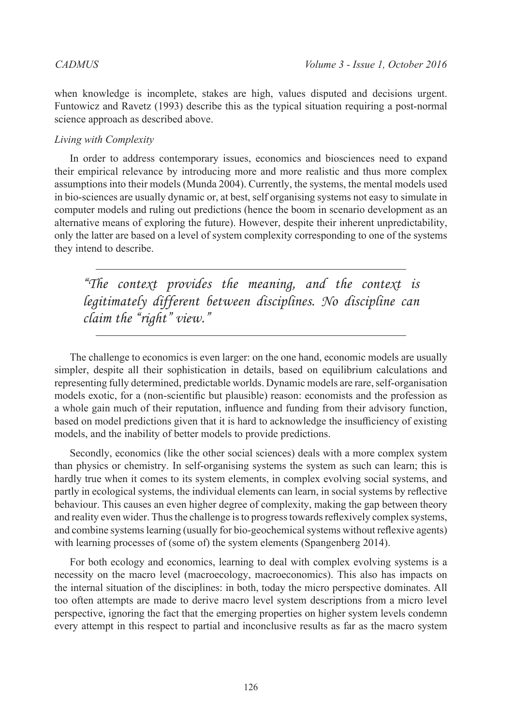when knowledge is incomplete, stakes are high, values disputed and decisions urgent. Funtowicz and Ravetz (1993) describe this as the typical situation requiring a post-normal science approach as described above.

### *Living with Complexity*

In order to address contemporary issues, economics and biosciences need to expand their empirical relevance by introducing more and more realistic and thus more complex assumptions into their models (Munda 2004). Currently, the systems, the mental models used in bio-sciences are usually dynamic or, at best, self organising systems not easy to simulate in computer models and ruling out predictions (hence the boom in scenario development as an alternative means of exploring the future). However, despite their inherent unpredictability, only the latter are based on a level of system complexity corresponding to one of the systems they intend to describe.

*"The context provides the meaning, and the context is legitimately different between disciplines. No discipline can claim the "right" view."*

The challenge to economics is even larger: on the one hand, economic models are usually simpler, despite all their sophistication in details, based on equilibrium calculations and representing fully determined, predictable worlds. Dynamic models are rare, self-organisation models exotic, for a (non-scientific but plausible) reason: economists and the profession as a whole gain much of their reputation, influence and funding from their advisory function, based on model predictions given that it is hard to acknowledge the insufficiency of existing models, and the inability of better models to provide predictions.

Secondly, economics (like the other social sciences) deals with a more complex system than physics or chemistry. In self-organising systems the system as such can learn; this is hardly true when it comes to its system elements, in complex evolving social systems, and partly in ecological systems, the individual elements can learn, in social systems by reflective behaviour. This causes an even higher degree of complexity, making the gap between theory and reality even wider. Thus the challenge is to progress towards reflexively complex systems, and combine systems learning (usually for bio-geochemical systems without reflexive agents) with learning processes of (some of) the system elements (Spangenberg 2014).

For both ecology and economics, learning to deal with complex evolving systems is a necessity on the macro level (macroecology, macroeconomics). This also has impacts on the internal situation of the disciplines: in both, today the micro perspective dominates. All too often attempts are made to derive macro level system descriptions from a micro level perspective, ignoring the fact that the emerging properties on higher system levels condemn every attempt in this respect to partial and inconclusive results as far as the macro system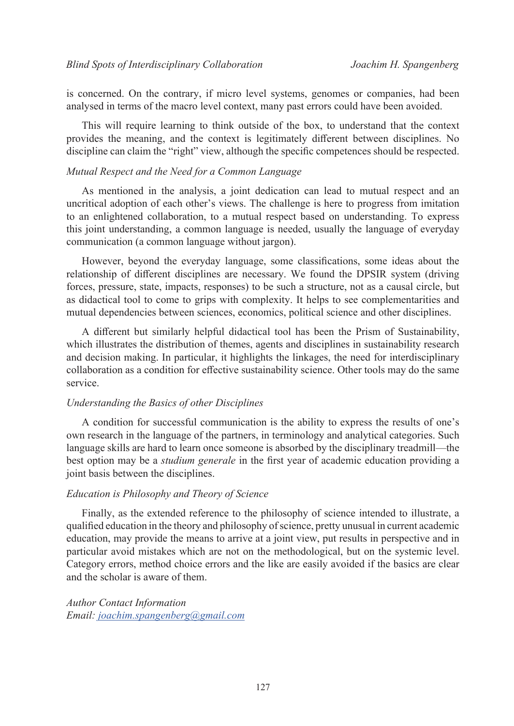is concerned. On the contrary, if micro level systems, genomes or companies, had been analysed in terms of the macro level context, many past errors could have been avoided.

This will require learning to think outside of the box, to understand that the context provides the meaning, and the context is legitimately different between disciplines. No discipline can claim the "right" view, although the specific competences should be respected.

#### *Mutual Respect and the Need for a Common Language*

As mentioned in the analysis, a joint dedication can lead to mutual respect and an uncritical adoption of each other's views. The challenge is here to progress from imitation to an enlightened collaboration, to a mutual respect based on understanding. To express this joint understanding, a common language is needed, usually the language of everyday communication (a common language without jargon).

However, beyond the everyday language, some classifications, some ideas about the relationship of different disciplines are necessary. We found the DPSIR system (driving forces, pressure, state, impacts, responses) to be such a structure, not as a causal circle, but as didactical tool to come to grips with complexity. It helps to see complementarities and mutual dependencies between sciences, economics, political science and other disciplines.

A different but similarly helpful didactical tool has been the Prism of Sustainability, which illustrates the distribution of themes, agents and disciplines in sustainability research and decision making. In particular, it highlights the linkages, the need for interdisciplinary collaboration as a condition for effective sustainability science. Other tools may do the same service.

#### *Understanding the Basics of other Disciplines*

A condition for successful communication is the ability to express the results of one's own research in the language of the partners, in terminology and analytical categories. Such language skills are hard to learn once someone is absorbed by the disciplinary treadmill—the best option may be a *studium generale* in the first year of academic education providing a joint basis between the disciplines.

#### *Education is Philosophy and Theory of Science*

Finally, as the extended reference to the philosophy of science intended to illustrate, a qualified education in the theory and philosophy of science, pretty unusual in current academic education, may provide the means to arrive at a joint view, put results in perspective and in particular avoid mistakes which are not on the methodological, but on the systemic level. Category errors, method choice errors and the like are easily avoided if the basics are clear and the scholar is aware of them.

*Author Contact Information Email: [joachim.spangenberg@gmail.com](mailto:joachim.spangenberg%40gmail.com?subject=)*